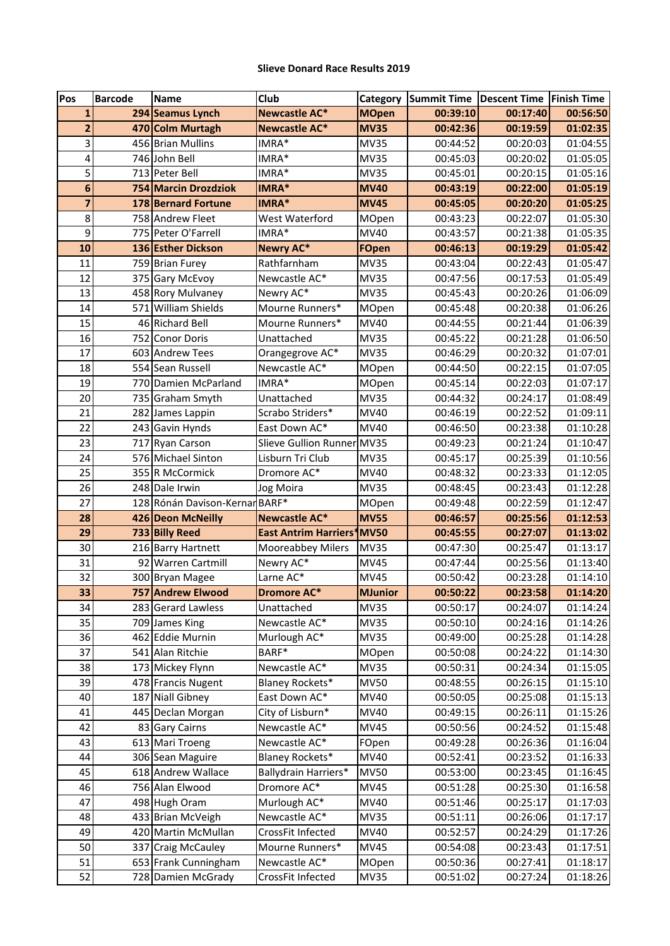## **Slieve Donard Race Results 2019**

| Pos                     | <b>Barcode</b> | <b>Name</b>                    | Club                        | Category          | <b>Summit Time</b> | Descent Time Finish Time |          |
|-------------------------|----------------|--------------------------------|-----------------------------|-------------------|--------------------|--------------------------|----------|
| $\mathbf{1}$            |                | 294 Seamus Lynch               | <b>Newcastle AC*</b>        | <b>MOpen</b>      | 00:39:10           | 00:17:40                 | 00:56:50 |
| $\overline{2}$          |                | 470 Colm Murtagh               | <b>Newcastle AC*</b>        | <b>MV35</b>       | 00:42:36           | 00:19:59                 | 01:02:35 |
| 3                       |                | 456 Brian Mullins              | IMRA*                       | <b>MV35</b>       | 00:44:52           | 00:20:03                 | 01:04:55 |
| 4                       |                | 746 John Bell                  | IMRA*                       | <b>MV35</b>       | 00:45:03           | 00:20:02                 | 01:05:05 |
| 5                       |                | 713 Peter Bell                 | IMRA*                       | <b>MV35</b>       | 00:45:01           | 00:20:15                 | 01:05:16 |
| $6\phantom{1}6$         |                | 754 Marcin Drozdziok           | IMRA*                       | <b>MV40</b>       | 00:43:19           | 00:22:00                 | 01:05:19 |
| $\overline{\mathbf{z}}$ |                | 178 Bernard Fortune            | IMRA*                       | <b>MV45</b>       | 00:45:05           | 00:20:20                 | 01:05:25 |
| 8                       |                | 758 Andrew Fleet               | West Waterford              | MOpen             | 00:43:23           | 00:22:07                 | 01:05:30 |
| 9                       |                | 775 Peter O'Farrell            | IMRA*                       | MV40              | 00:43:57           | 00:21:38                 | 01:05:35 |
| 10                      |                | 136 Esther Dickson             | <b>Newry AC*</b>            | <b>FOpen</b>      | 00:46:13           | 00:19:29                 | 01:05:42 |
| 11                      |                | 759 Brian Furey                | Rathfarnham                 | <b>MV35</b>       | 00:43:04           | 00:22:43                 | 01:05:47 |
| 12                      |                | 375 Gary McEvoy                | Newcastle AC*               | <b>MV35</b>       | 00:47:56           | 00:17:53                 | 01:05:49 |
| 13                      |                | 458 Rory Mulvaney              | Newry AC*                   | <b>MV35</b>       | 00:45:43           | 00:20:26                 | 01:06:09 |
| 14                      |                | 571 William Shields            | Mourne Runners*             | MOpen             | 00:45:48           | 00:20:38                 | 01:06:26 |
| 15                      |                | 46 Richard Bell                | Mourne Runners*             | MV40              | 00:44:55           | 00:21:44                 | 01:06:39 |
| 16                      | 752            | <b>Conor Doris</b>             | Unattached                  | <b>MV35</b>       | 00:45:22           | 00:21:28                 | 01:06:50 |
| 17                      |                | 603 Andrew Tees                | Orangegrove AC*             | <b>MV35</b>       | 00:46:29           | 00:20:32                 | 01:07:01 |
| 18                      |                | 554 Sean Russell               | Newcastle AC*               | MOpen             | 00:44:50           | 00:22:15                 | 01:07:05 |
| 19                      |                | 770 Damien McParland           | IMRA*                       | MOpen             | 00:45:14           | 00:22:03                 | 01:07:17 |
| 20                      |                | 735 Graham Smyth               | Unattached                  | <b>MV35</b>       | 00:44:32           | 00:24:17                 | 01:08:49 |
| 21                      |                | 282 James Lappin               | Scrabo Striders*            | MV40              | 00:46:19           | 00:22:52                 | 01:09:11 |
| 22                      |                | 243 Gavin Hynds                | East Down AC*               | <b>MV40</b>       | 00:46:50           | 00:23:38                 | 01:10:28 |
| 23                      |                | 717 Ryan Carson                | Slieve Gullion Runner MV35  |                   | 00:49:23           | 00:21:24                 | 01:10:47 |
| 24                      |                | 576 Michael Sinton             | Lisburn Tri Club            | <b>MV35</b>       | 00:45:17           | 00:25:39                 | 01:10:56 |
| 25                      |                | 355 R McCormick                | Dromore AC*                 | MV40              | 00:48:32           | 00:23:33                 | 01:12:05 |
| 26                      |                | 248 Dale Irwin                 | Jog Moira                   | <b>MV35</b>       | 00:48:45           | 00:23:43                 | 01:12:28 |
| 27                      |                | 128 Rónán Davison-Kernar BARF* |                             | MOpen             | 00:49:48           | 00:22:59                 | 01:12:47 |
| 28                      |                | 426 Deon McNeilly              | <b>Newcastle AC*</b>        | <b>MV55</b>       | 00:46:57           | 00:25:56                 | 01:12:53 |
| 29                      |                | 733 Billy Reed                 | <b>East Antrim Harriers</b> | <sup>*</sup> MV50 | 00:45:55           | 00:27:07                 | 01:13:02 |
| 30                      |                | 216 Barry Hartnett             | <b>Mooreabbey Milers</b>    | <b>MV35</b>       | 00:47:30           | 00:25:47                 | 01:13:17 |
| 31                      |                | 92 Warren Cartmill             | Newry AC*                   | <b>MV45</b>       | 00:47:44           | 00:25:56                 | 01:13:40 |
| 32                      |                | 300 Bryan Magee                | Larne AC*                   | <b>MV45</b>       | 00:50:42           | 00:23:28                 | 01:14:10 |
| 33                      |                | 757 Andrew Elwood              | <b>Dromore AC*</b>          | <b>MJunior</b>    | 00:50:22           | 00:23:58                 | 01:14:20 |
| 34                      |                | 283 Gerard Lawless             | Unattached                  | <b>MV35</b>       | 00:50:17           | 00:24:07                 | 01:14:24 |
| 35                      |                | 709 James King                 | Newcastle AC*               | <b>MV35</b>       | 00:50:10           | 00:24:16                 | 01:14:26 |
| 36                      |                | 462 Eddie Murnin               | Murlough AC*                | <b>MV35</b>       | 00:49:00           | 00:25:28                 | 01:14:28 |
| 37                      |                | 541 Alan Ritchie               | BARF*                       | MOpen             | 00:50:08           | 00:24:22                 | 01:14:30 |
| 38                      |                | 173 Mickey Flynn               | Newcastle AC*               | <b>MV35</b>       | 00:50:31           | 00:24:34                 | 01:15:05 |
| 39                      |                | 478 Francis Nugent             | Blaney Rockets*             | <b>MV50</b>       | 00:48:55           | 00:26:15                 | 01:15:10 |
| 40                      |                | 187 Niall Gibney               | East Down AC*               | MV40              | 00:50:05           | 00:25:08                 | 01:15:13 |
| 41                      |                | 445 Declan Morgan              | City of Lisburn*            | MV40              | 00:49:15           | 00:26:11                 | 01:15:26 |
| 42                      |                | 83 Gary Cairns                 | Newcastle AC*               | <b>MV45</b>       | 00:50:56           | 00:24:52                 | 01:15:48 |
| 43                      |                | 613 Mari Troeng                | Newcastle AC*               | FOpen             | 00:49:28           | 00:26:36                 | 01:16:04 |
| 44                      |                | 306 Sean Maguire               | Blaney Rockets*             | MV40              | 00:52:41           | 00:23:52                 | 01:16:33 |
| 45                      |                | 618 Andrew Wallace             | Ballydrain Harriers*        | <b>MV50</b>       | 00:53:00           | 00:23:45                 | 01:16:45 |
| 46                      |                | 756 Alan Elwood                | Dromore AC*                 | <b>MV45</b>       | 00:51:28           | 00:25:30                 | 01:16:58 |
| 47                      |                | 498 Hugh Oram                  | Murlough AC*                | MV40              | 00:51:46           | 00:25:17                 | 01:17:03 |
| 48                      |                | 433 Brian McVeigh              | Newcastle AC*               | <b>MV35</b>       | 00:51:11           | 00:26:06                 | 01:17:17 |
| 49                      |                | 420 Martin McMullan            | CrossFit Infected           | MV40              | 00:52:57           | 00:24:29                 | 01:17:26 |
| 50                      |                | 337 Craig McCauley             | Mourne Runners*             | <b>MV45</b>       | 00:54:08           | 00:23:43                 | 01:17:51 |
| 51                      |                | 653 Frank Cunningham           | Newcastle AC*               | <b>MOpen</b>      | 00:50:36           | 00:27:41                 | 01:18:17 |
| 52                      |                | 728 Damien McGrady             | CrossFit Infected           | <b>MV35</b>       | 00:51:02           | 00:27:24                 | 01:18:26 |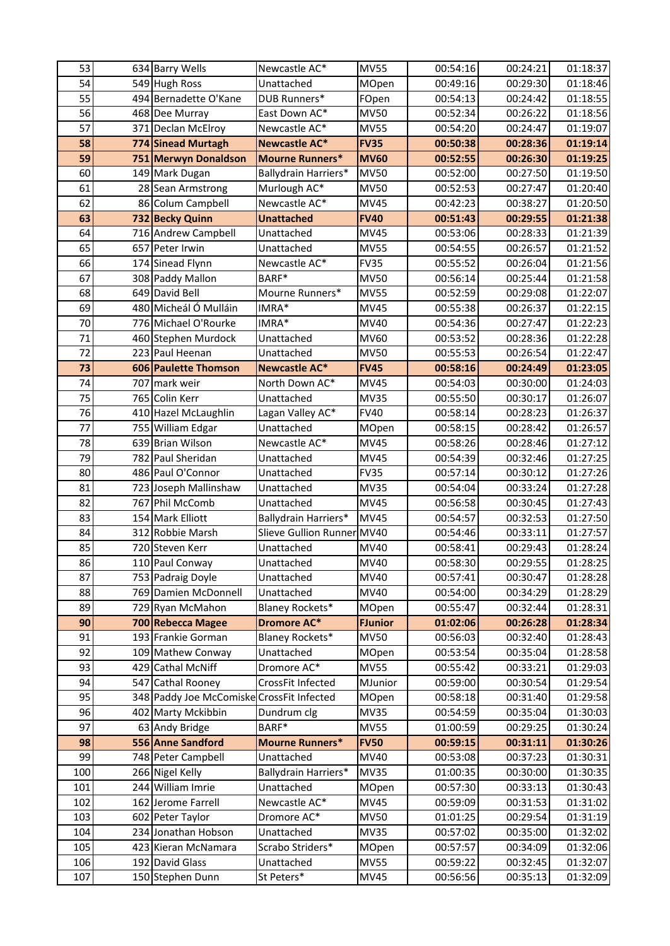| 53  | 634 Barry Wells                           | Newcastle AC*              | <b>MV55</b>    | 00:54:16 | 00:24:21 | 01:18:37 |
|-----|-------------------------------------------|----------------------------|----------------|----------|----------|----------|
| 54  | 549 Hugh Ross                             | Unattached                 | MOpen          | 00:49:16 | 00:29:30 | 01:18:46 |
| 55  | 494 Bernadette O'Kane                     | DUB Runners*               | FOpen          | 00:54:13 | 00:24:42 | 01:18:55 |
| 56  | 468 Dee Murray                            | East Down AC*              | <b>MV50</b>    | 00:52:34 | 00:26:22 | 01:18:56 |
| 57  | 371 Declan McElroy                        | Newcastle AC*              | <b>MV55</b>    | 00:54:20 | 00:24:47 | 01:19:07 |
| 58  | 774 Sinead Murtagh                        | <b>Newcastle AC*</b>       | <b>FV35</b>    | 00:50:38 | 00:28:36 | 01:19:14 |
| 59  | 751 Merwyn Donaldson                      | <b>Mourne Runners*</b>     | <b>MV60</b>    | 00:52:55 | 00:26:30 | 01:19:25 |
| 60  | 149 Mark Dugan                            | Ballydrain Harriers*       | <b>MV50</b>    | 00:52:00 | 00:27:50 | 01:19:50 |
| 61  | 28 Sean Armstrong                         | Murlough AC*               | <b>MV50</b>    | 00:52:53 | 00:27:47 | 01:20:40 |
| 62  | 86 Colum Campbell                         | Newcastle AC*              | MV45           | 00:42:23 | 00:38:27 | 01:20:50 |
| 63  | 732 Becky Quinn                           | <b>Unattached</b>          | <b>FV40</b>    | 00:51:43 | 00:29:55 | 01:21:38 |
| 64  | 716 Andrew Campbell                       | Unattached                 | <b>MV45</b>    | 00:53:06 | 00:28:33 | 01:21:39 |
| 65  | 657 Peter Irwin                           | Unattached                 | <b>MV55</b>    | 00:54:55 | 00:26:57 | 01:21:52 |
| 66  | 174 Sinead Flynn                          | Newcastle AC*              | <b>FV35</b>    | 00:55:52 | 00:26:04 | 01:21:56 |
| 67  | 308 Paddy Mallon                          | BARF*                      | <b>MV50</b>    | 00:56:14 | 00:25:44 | 01:21:58 |
| 68  | 649 David Bell                            | Mourne Runners*            | <b>MV55</b>    | 00:52:59 | 00:29:08 | 01:22:07 |
| 69  | 480 Micheál Ó Mulláin                     | IMRA*                      | <b>MV45</b>    | 00:55:38 | 00:26:37 | 01:22:15 |
| 70  | 776 Michael O'Rourke                      | IMRA*                      | MV40           | 00:54:36 | 00:27:47 | 01:22:23 |
| 71  | 460 Stephen Murdock                       | Unattached                 | MV60           | 00:53:52 | 00:28:36 | 01:22:28 |
| 72  | 223 Paul Heenan                           | Unattached                 | <b>MV50</b>    | 00:55:53 | 00:26:54 | 01:22:47 |
| 73  | 606 Paulette Thomson                      | <b>Newcastle AC*</b>       | <b>FV45</b>    | 00:58:16 | 00:24:49 | 01:23:05 |
| 74  | 707 mark weir                             | North Down AC*             | <b>MV45</b>    | 00:54:03 | 00:30:00 | 01:24:03 |
| 75  | 765 Colin Kerr                            | Unattached                 | <b>MV35</b>    | 00:55:50 | 00:30:17 | 01:26:07 |
| 76  | 410 Hazel McLaughlin                      | Lagan Valley AC*           | <b>FV40</b>    | 00:58:14 | 00:28:23 | 01:26:37 |
| 77  | 755 William Edgar                         | Unattached                 | MOpen          | 00:58:15 | 00:28:42 | 01:26:57 |
| 78  | 639 Brian Wilson                          | Newcastle AC*              | <b>MV45</b>    | 00:58:26 | 00:28:46 | 01:27:12 |
| 79  | 782 Paul Sheridan                         | Unattached                 | MV45           | 00:54:39 | 00:32:46 | 01:27:25 |
| 80  | 486 Paul O'Connor                         | Unattached                 | <b>FV35</b>    | 00:57:14 | 00:30:12 | 01:27:26 |
| 81  | 723 Joseph Mallinshaw                     | Unattached                 | <b>MV35</b>    | 00:54:04 | 00:33:24 | 01:27:28 |
| 82  | 767 Phil McComb                           | Unattached                 | <b>MV45</b>    | 00:56:58 | 00:30:45 | 01:27:43 |
| 83  | 154 Mark Elliott                          | Ballydrain Harriers*       | <b>MV45</b>    | 00:54:57 | 00:32:53 | 01:27:50 |
| 84  | 312 Robbie Marsh                          | Slieve Gullion Runner MV40 |                | 00:54:46 | 00:33:11 | 01:27:57 |
| 85  | 720 Steven Kerr                           | Unattached                 | MV40           | 00:58:41 | 00:29:43 | 01:28:24 |
| 86  | 110 Paul Conway                           | Unattached                 | MV40           | 00:58:30 | 00:29:55 | 01:28:25 |
| 87  | 753 Padraig Doyle                         | Unattached                 | MV40           | 00:57:41 | 00:30:47 | 01:28:28 |
| 88  | 769 Damien McDonnell                      | Unattached                 | MV40           | 00:54:00 | 00:34:29 | 01:28:29 |
| 89  | 729 Ryan McMahon                          | <b>Blaney Rockets*</b>     | <b>MOpen</b>   | 00:55:47 | 00:32:44 | 01:28:31 |
| 90  | 700 Rebecca Magee                         | <b>Dromore AC*</b>         | <b>FJunior</b> | 01:02:06 | 00:26:28 | 01:28:34 |
| 91  | 193 Frankie Gorman                        | Blaney Rockets*            | <b>MV50</b>    | 00:56:03 | 00:32:40 | 01:28:43 |
| 92  | 109 Mathew Conway                         | Unattached                 | MOpen          | 00:53:54 | 00:35:04 | 01:28:58 |
| 93  | 429 Cathal McNiff                         | Dromore AC*                | <b>MV55</b>    | 00:55:42 | 00:33:21 | 01:29:03 |
| 94  | 547 Cathal Rooney                         | CrossFit Infected          | MJunior        | 00:59:00 | 00:30:54 | 01:29:54 |
| 95  | 348 Paddy Joe McComiske CrossFit Infected |                            | MOpen          | 00:58:18 | 00:31:40 | 01:29:58 |
| 96  | 402 Marty Mckibbin                        | Dundrum clg                | <b>MV35</b>    | 00:54:59 | 00:35:04 | 01:30:03 |
| 97  | 63 Andy Bridge                            | BARF*                      | <b>MV55</b>    | 01:00:59 | 00:29:25 | 01:30:24 |
| 98  | 556 Anne Sandford                         | <b>Mourne Runners*</b>     | <b>FV50</b>    | 00:59:15 | 00:31:11 | 01:30:26 |
| 99  | 748 Peter Campbell                        | Unattached                 | MV40           | 00:53:08 | 00:37:23 | 01:30:31 |
| 100 | 266 Nigel Kelly                           | Ballydrain Harriers*       | <b>MV35</b>    | 01:00:35 | 00:30:00 | 01:30:35 |
| 101 | 244 William Imrie                         | Unattached                 | <b>MOpen</b>   | 00:57:30 | 00:33:13 | 01:30:43 |
| 102 | 162 Jerome Farrell                        | Newcastle AC*              | <b>MV45</b>    | 00:59:09 | 00:31:53 | 01:31:02 |
| 103 | 602 Peter Taylor                          | Dromore AC*                | <b>MV50</b>    | 01:01:25 | 00:29:54 | 01:31:19 |
| 104 | 234 Jonathan Hobson                       | Unattached                 | <b>MV35</b>    | 00:57:02 | 00:35:00 | 01:32:02 |
| 105 | 423 Kieran McNamara                       | Scrabo Striders*           | MOpen          | 00:57:57 | 00:34:09 | 01:32:06 |
| 106 | 192 David Glass                           | Unattached                 | <b>MV55</b>    | 00:59:22 | 00:32:45 | 01:32:07 |
| 107 | 150 Stephen Dunn                          | St Peters*                 | <b>MV45</b>    | 00:56:56 | 00:35:13 | 01:32:09 |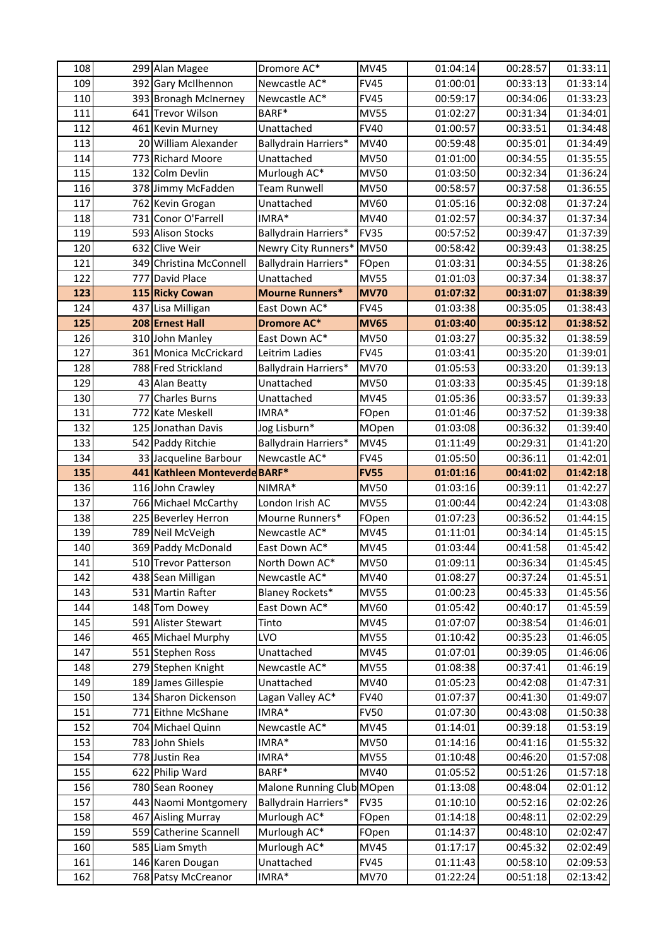| 108 |     | 299 Alan Magee                | Dromore AC*               | <b>MV45</b> | 01:04:14 | 00:28:57 | 01:33:11 |
|-----|-----|-------------------------------|---------------------------|-------------|----------|----------|----------|
| 109 |     | 392 Gary McIlhennon           | Newcastle AC*             | <b>FV45</b> | 01:00:01 | 00:33:13 | 01:33:14 |
| 110 |     | 393 Bronagh McInerney         | Newcastle AC*             | <b>FV45</b> | 00:59:17 | 00:34:06 | 01:33:23 |
| 111 |     | 641 Trevor Wilson             | BARF*                     | <b>MV55</b> | 01:02:27 | 00:31:34 | 01:34:01 |
| 112 |     | 461 Kevin Murney              | Unattached                | <b>FV40</b> | 01:00:57 | 00:33:51 | 01:34:48 |
| 113 |     | 20 William Alexander          | Ballydrain Harriers*      | MV40        | 00:59:48 | 00:35:01 | 01:34:49 |
| 114 |     | 773 Richard Moore             | Unattached                | <b>MV50</b> | 01:01:00 | 00:34:55 | 01:35:55 |
| 115 |     | 132 Colm Devlin               | Murlough AC*              | <b>MV50</b> | 01:03:50 | 00:32:34 | 01:36:24 |
| 116 |     | 378 Jimmy McFadden            | Team Runwell              | <b>MV50</b> | 00:58:57 | 00:37:58 | 01:36:55 |
| 117 |     | 762 Kevin Grogan              | Unattached                | MV60        | 01:05:16 | 00:32:08 | 01:37:24 |
| 118 |     | 731 Conor O'Farrell           | IMRA*                     | MV40        | 01:02:57 | 00:34:37 | 01:37:34 |
| 119 |     | 593 Alison Stocks             | Ballydrain Harriers*      | <b>FV35</b> | 00:57:52 | 00:39:47 | 01:37:39 |
| 120 |     | 632 Clive Weir                | Newry City Runners*       | <b>MV50</b> | 00:58:42 | 00:39:43 | 01:38:25 |
| 121 |     | 349 Christina McConnell       | Ballydrain Harriers*      | FOpen       | 01:03:31 | 00:34:55 | 01:38:26 |
| 122 | 777 | David Place                   | Unattached                | <b>MV55</b> | 01:01:03 | 00:37:34 | 01:38:37 |
| 123 |     | 115 Ricky Cowan               | <b>Mourne Runners*</b>    | <b>MV70</b> | 01:07:32 | 00:31:07 | 01:38:39 |
| 124 |     | 437 Lisa Milligan             | East Down AC*             | <b>FV45</b> | 01:03:38 | 00:35:05 | 01:38:43 |
| 125 |     | 208 Ernest Hall               | <b>Dromore AC*</b>        | <b>MV65</b> | 01:03:40 | 00:35:12 | 01:38:52 |
| 126 |     | 310 John Manley               | East Down AC*             | <b>MV50</b> | 01:03:27 | 00:35:32 | 01:38:59 |
| 127 |     | 361 Monica McCrickard         | Leitrim Ladies            | <b>FV45</b> | 01:03:41 | 00:35:20 | 01:39:01 |
| 128 |     | 788 Fred Strickland           | Ballydrain Harriers*      | <b>MV70</b> | 01:05:53 | 00:33:20 | 01:39:13 |
| 129 |     | 43 Alan Beatty                | Unattached                | <b>MV50</b> | 01:03:33 | 00:35:45 | 01:39:18 |
| 130 | 77  | <b>Charles Burns</b>          | Unattached                | <b>MV45</b> | 01:05:36 | 00:33:57 | 01:39:33 |
| 131 | 772 | <b>Kate Meskell</b>           | IMRA*                     | FOpen       | 01:01:46 | 00:37:52 | 01:39:38 |
| 132 |     | 125 Jonathan Davis            | Jog Lisburn*              | MOpen       | 01:03:08 | 00:36:32 | 01:39:40 |
| 133 |     | 542 Paddy Ritchie             | Ballydrain Harriers*      | <b>MV45</b> | 01:11:49 | 00:29:31 | 01:41:20 |
| 134 |     | 33 Jacqueline Barbour         | Newcastle AC*             | <b>FV45</b> | 01:05:50 | 00:36:11 | 01:42:01 |
| 135 |     | 441 Kathleen Monteverde BARF* |                           | <b>FV55</b> | 01:01:16 | 00:41:02 | 01:42:18 |
| 136 |     | 116 John Crawley              | NIMRA*                    | <b>MV50</b> | 01:03:16 | 00:39:11 | 01:42:27 |
| 137 |     | 766 Michael McCarthy          | London Irish AC           | <b>MV55</b> | 01:00:44 | 00:42:24 | 01:43:08 |
| 138 |     | 225 Beverley Herron           | Mourne Runners*           | FOpen       | 01:07:23 | 00:36:52 | 01:44:15 |
| 139 |     | 789 Neil McVeigh              | Newcastle AC*             | <b>MV45</b> | 01:11:01 | 00:34:14 | 01:45:15 |
| 140 |     | 369 Paddy McDonald            | East Down AC*             | <b>MV45</b> | 01:03:44 | 00:41:58 | 01:45:42 |
| 141 |     | 510 Trevor Patterson          | North Down AC*            | <b>MV50</b> | 01:09:11 | 00:36:34 | 01:45:45 |
| 142 |     | 438 Sean Milligan             | Newcastle AC*             | MV40        | 01:08:27 | 00:37:24 | 01:45:51 |
| 143 |     | 531 Martin Rafter             | Blaney Rockets*           | <b>MV55</b> | 01:00:23 | 00:45:33 | 01:45:56 |
| 144 |     | 148 Tom Dowey                 | East Down AC*             | MV60        | 01:05:42 | 00:40:17 | 01:45:59 |
| 145 |     | 591 Alister Stewart           | Tinto                     | <b>MV45</b> | 01:07:07 | 00:38:54 | 01:46:01 |
| 146 |     | 465 Michael Murphy            | LVO                       | <b>MV55</b> | 01:10:42 | 00:35:23 | 01:46:05 |
| 147 |     | 551 Stephen Ross              | Unattached                | <b>MV45</b> | 01:07:01 | 00:39:05 | 01:46:06 |
| 148 |     | 279 Stephen Knight            | Newcastle AC*             | <b>MV55</b> | 01:08:38 | 00:37:41 | 01:46:19 |
| 149 |     | 189 James Gillespie           | Unattached                | MV40        | 01:05:23 | 00:42:08 | 01:47:31 |
| 150 |     | 134 Sharon Dickenson          | Lagan Valley AC*          | <b>FV40</b> | 01:07:37 | 00:41:30 | 01:49:07 |
| 151 |     | 771 Eithne McShane            | $IMRA*$                   | <b>FV50</b> | 01:07:30 | 00:43:08 | 01:50:38 |
| 152 |     | 704 Michael Quinn             | Newcastle AC*             | <b>MV45</b> | 01:14:01 | 00:39:18 | 01:53:19 |
| 153 |     | 783 John Shiels               | $IMRA*$                   | <b>MV50</b> | 01:14:16 | 00:41:16 | 01:55:32 |
| 154 |     | 778 Justin Rea                | IMRA*                     | <b>MV55</b> | 01:10:48 | 00:46:20 | 01:57:08 |
| 155 |     | 622 Philip Ward               | BARF*                     | MV40        | 01:05:52 | 00:51:26 | 01:57:18 |
| 156 |     | 780 Sean Rooney               | Malone Running Club MOpen |             | 01:13:08 | 00:48:04 | 02:01:12 |
| 157 |     | 443 Naomi Montgomery          | Ballydrain Harriers*      | <b>FV35</b> | 01:10:10 | 00:52:16 | 02:02:26 |
| 158 |     | 467 Aisling Murray            | Murlough AC*              | FOpen       | 01:14:18 | 00:48:11 | 02:02:29 |
| 159 |     | 559 Catherine Scannell        | Murlough AC*              | FOpen       | 01:14:37 | 00:48:10 | 02:02:47 |
| 160 |     | 585 Liam Smyth                | Murlough AC*              | <b>MV45</b> | 01:17:17 | 00:45:32 | 02:02:49 |
| 161 |     | 146 Karen Dougan              | Unattached                | <b>FV45</b> | 01:11:43 | 00:58:10 | 02:09:53 |
| 162 |     | 768 Patsy McCreanor           | IMRA*                     | <b>MV70</b> | 01:22:24 | 00:51:18 | 02:13:42 |